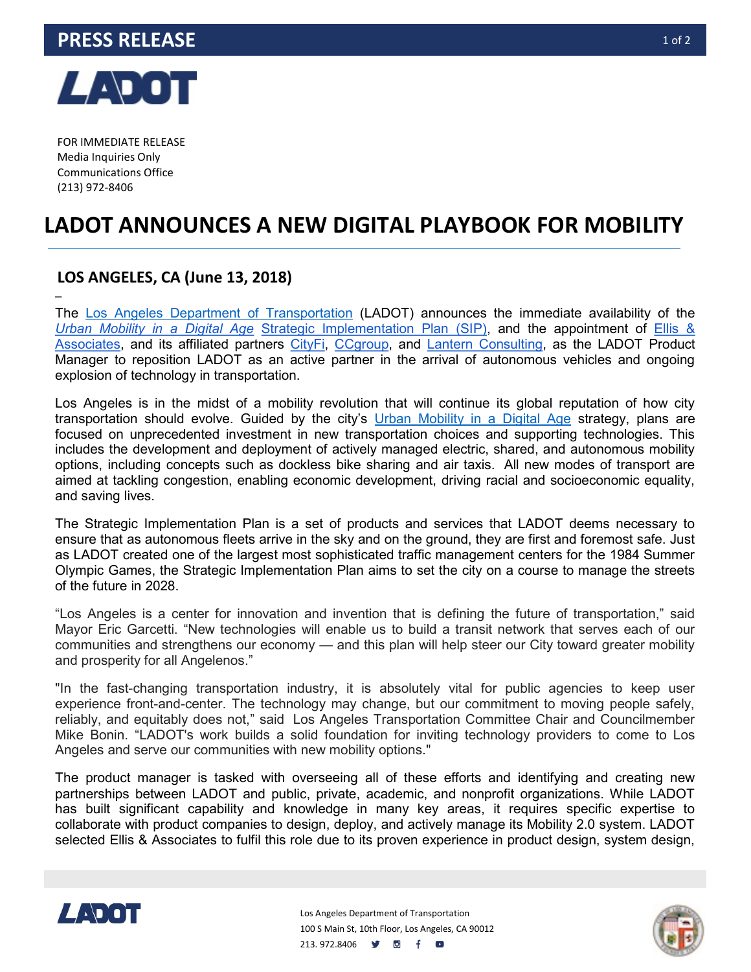

FOR IMMEDIATE RELEASE Media Inquiries Only Communications Office (213) 972-8406

## LADOT ANNOUNCES A NEW DIGITAL PLAYBOOK FOR MOBILITY

## LOS ANGELES, CA (June 13, 2018)

– The Los Angeles Department of Transportation (LADOT) announces the immediate availability of the Urban Mobility in a Digital Age Strategic Implementation Plan (SIP), and the appointment of Ellis & Associates, and its affiliated partners CityFi, CCgroup, and Lantern Consulting, as the LADOT Product Manager to reposition LADOT as an active partner in the arrival of autonomous vehicles and ongoing explosion of technology in transportation.

Los Angeles is in the midst of a mobility revolution that will continue its global reputation of how city transportation should evolve. Guided by the city's Urban Mobility in a Digital Age strategy, plans are focused on unprecedented investment in new transportation choices and supporting technologies. This includes the development and deployment of actively managed electric, shared, and autonomous mobility options, including concepts such as dockless bike sharing and air taxis. All new modes of transport are aimed at tackling congestion, enabling economic development, driving racial and socioeconomic equality, and saving lives.

The Strategic Implementation Plan is a set of products and services that LADOT deems necessary to ensure that as autonomous fleets arrive in the sky and on the ground, they are first and foremost safe. Just as LADOT created one of the largest most sophisticated traffic management centers for the 1984 Summer Olympic Games, the Strategic Implementation Plan aims to set the city on a course to manage the streets of the future in 2028.

"Los Angeles is a center for innovation and invention that is defining the future of transportation," said Mayor Eric Garcetti. "New technologies will enable us to build a transit network that serves each of our communities and strengthens our economy — and this plan will help steer our City toward greater mobility and prosperity for all Angelenos."

"In the fast-changing transportation industry, it is absolutely vital for public agencies to keep user experience front-and-center. The technology may change, but our commitment to moving people safely, reliably, and equitably does not," said Los Angeles Transportation Committee Chair and Councilmember Mike Bonin. "LADOT's work builds a solid foundation for inviting technology providers to come to Los Angeles and serve our communities with new mobility options."

The product manager is tasked with overseeing all of these efforts and identifying and creating new partnerships between LADOT and public, private, academic, and nonprofit organizations. While LADOT has built significant capability and knowledge in many key areas, it requires specific expertise to collaborate with product companies to design, deploy, and actively manage its Mobility 2.0 system. LADOT selected Ellis & Associates to fulfil this role due to its proven experience in product design, system design,



Los Angeles Department of Transportation 100 S Main St, 10th Floor, Los Angeles, CA 90012 213.972.8406 **9 8 f 8**